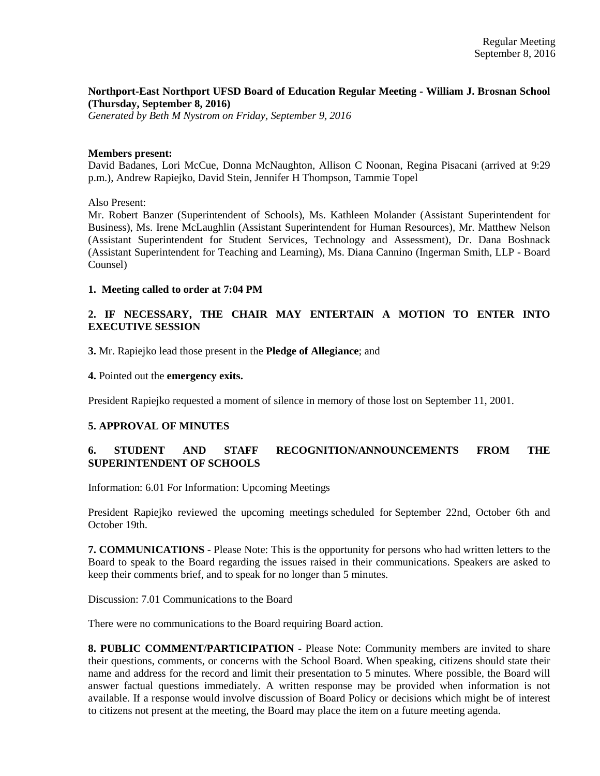## **Northport-East Northport UFSD Board of Education Regular Meeting - William J. Brosnan School (Thursday, September 8, 2016)**

*Generated by Beth M Nystrom on Friday, September 9, 2016*

#### **Members present:**

David Badanes, Lori McCue, Donna McNaughton, Allison C Noonan, Regina Pisacani (arrived at 9:29 p.m.), Andrew Rapiejko, David Stein, Jennifer H Thompson, Tammie Topel

Also Present:

Mr. Robert Banzer (Superintendent of Schools), Ms. Kathleen Molander (Assistant Superintendent for Business), Ms. Irene McLaughlin (Assistant Superintendent for Human Resources), Mr. Matthew Nelson (Assistant Superintendent for Student Services, Technology and Assessment), Dr. Dana Boshnack (Assistant Superintendent for Teaching and Learning), Ms. Diana Cannino (Ingerman Smith, LLP - Board Counsel)

#### **1. Meeting called to order at 7:04 PM**

## **2. IF NECESSARY, THE CHAIR MAY ENTERTAIN A MOTION TO ENTER INTO EXECUTIVE SESSION**

**3.** Mr. Rapiejko lead those present in the **Pledge of Allegiance**; and

**4.** Pointed out the **emergency exits.**

President Rapiejko requested a moment of silence in memory of those lost on September 11, 2001.

## **5. APPROVAL OF MINUTES**

## **6. STUDENT AND STAFF RECOGNITION/ANNOUNCEMENTS FROM THE SUPERINTENDENT OF SCHOOLS**

Information: 6.01 For Information: Upcoming Meetings

President Rapiejko reviewed the upcoming meetings scheduled for September 22nd, October 6th and October 19th.

**7. COMMUNICATIONS** - Please Note: This is the opportunity for persons who had written letters to the Board to speak to the Board regarding the issues raised in their communications. Speakers are asked to keep their comments brief, and to speak for no longer than 5 minutes.

Discussion: 7.01 Communications to the Board

There were no communications to the Board requiring Board action.

**8. PUBLIC COMMENT/PARTICIPATION** - Please Note: Community members are invited to share their questions, comments, or concerns with the School Board. When speaking, citizens should state their name and address for the record and limit their presentation to 5 minutes. Where possible, the Board will answer factual questions immediately. A written response may be provided when information is not available. If a response would involve discussion of Board Policy or decisions which might be of interest to citizens not present at the meeting, the Board may place the item on a future meeting agenda.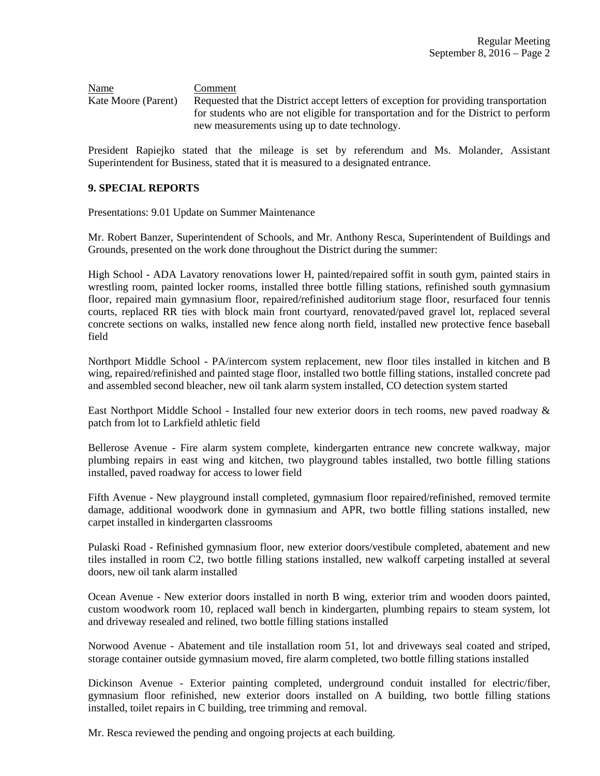Name Comment Kate Moore (Parent) Requested that the District accept letters of exception for providing transportation for students who are not eligible for transportation and for the District to perform new measurements using up to date technology.

President Rapiejko stated that the mileage is set by referendum and Ms. Molander, Assistant Superintendent for Business, stated that it is measured to a designated entrance.

#### **9. SPECIAL REPORTS**

Presentations: 9.01 Update on Summer Maintenance

Mr. Robert Banzer, Superintendent of Schools, and Mr. Anthony Resca, Superintendent of Buildings and Grounds, presented on the work done throughout the District during the summer:

High School - ADA Lavatory renovations lower H, painted/repaired soffit in south gym, painted stairs in wrestling room, painted locker rooms, installed three bottle filling stations, refinished south gymnasium floor, repaired main gymnasium floor, repaired/refinished auditorium stage floor, resurfaced four tennis courts, replaced RR ties with block main front courtyard, renovated/paved gravel lot, replaced several concrete sections on walks, installed new fence along north field, installed new protective fence baseball field

Northport Middle School - PA/intercom system replacement, new floor tiles installed in kitchen and B wing, repaired/refinished and painted stage floor, installed two bottle filling stations, installed concrete pad and assembled second bleacher, new oil tank alarm system installed, CO detection system started

East Northport Middle School - Installed four new exterior doors in tech rooms, new paved roadway & patch from lot to Larkfield athletic field

Bellerose Avenue - Fire alarm system complete, kindergarten entrance new concrete walkway, major plumbing repairs in east wing and kitchen, two playground tables installed, two bottle filling stations installed, paved roadway for access to lower field

Fifth Avenue - New playground install completed, gymnasium floor repaired/refinished, removed termite damage, additional woodwork done in gymnasium and APR, two bottle filling stations installed, new carpet installed in kindergarten classrooms

Pulaski Road - Refinished gymnasium floor, new exterior doors/vestibule completed, abatement and new tiles installed in room C2, two bottle filling stations installed, new walkoff carpeting installed at several doors, new oil tank alarm installed

Ocean Avenue - New exterior doors installed in north B wing, exterior trim and wooden doors painted, custom woodwork room 10, replaced wall bench in kindergarten, plumbing repairs to steam system, lot and driveway resealed and relined, two bottle filling stations installed

Norwood Avenue - Abatement and tile installation room 51, lot and driveways seal coated and striped, storage container outside gymnasium moved, fire alarm completed, two bottle filling stations installed

Dickinson Avenue - Exterior painting completed, underground conduit installed for electric/fiber, gymnasium floor refinished, new exterior doors installed on A building, two bottle filling stations installed, toilet repairs in C building, tree trimming and removal.

Mr. Resca reviewed the pending and ongoing projects at each building.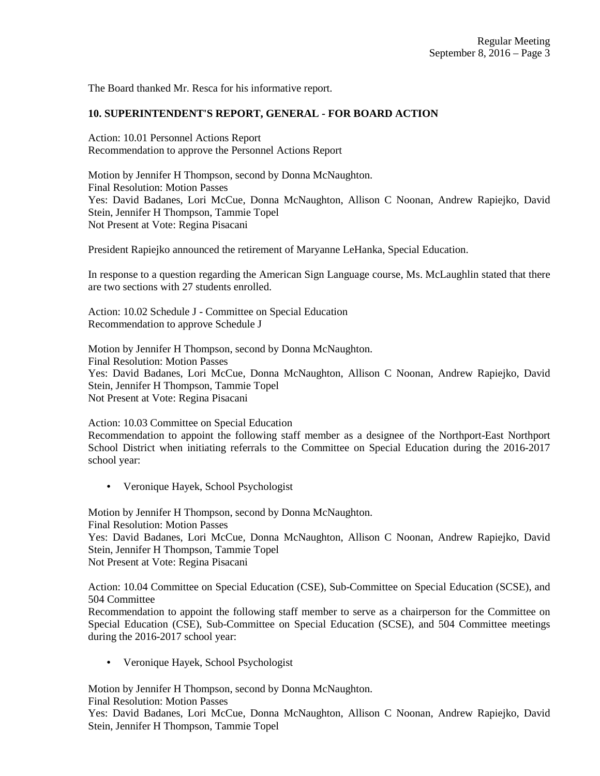The Board thanked Mr. Resca for his informative report.

## **10. SUPERINTENDENT'S REPORT, GENERAL - FOR BOARD ACTION**

Action: 10.01 Personnel Actions Report Recommendation to approve the Personnel Actions Report

Motion by Jennifer H Thompson, second by Donna McNaughton. Final Resolution: Motion Passes Yes: David Badanes, Lori McCue, Donna McNaughton, Allison C Noonan, Andrew Rapiejko, David Stein, Jennifer H Thompson, Tammie Topel Not Present at Vote: Regina Pisacani

President Rapiejko announced the retirement of Maryanne LeHanka, Special Education.

In response to a question regarding the American Sign Language course, Ms. McLaughlin stated that there are two sections with 27 students enrolled.

Action: 10.02 Schedule J - Committee on Special Education Recommendation to approve Schedule J

Motion by Jennifer H Thompson, second by Donna McNaughton. Final Resolution: Motion Passes Yes: David Badanes, Lori McCue, Donna McNaughton, Allison C Noonan, Andrew Rapiejko, David Stein, Jennifer H Thompson, Tammie Topel Not Present at Vote: Regina Pisacani

Action: 10.03 Committee on Special Education Recommendation to appoint the following staff member as a designee of the Northport-East Northport School District when initiating referrals to the Committee on Special Education during the 2016-2017 school year:

• Veronique Hayek, School Psychologist

Motion by Jennifer H Thompson, second by Donna McNaughton. Final Resolution: Motion Passes Yes: David Badanes, Lori McCue, Donna McNaughton, Allison C Noonan, Andrew Rapiejko, David Stein, Jennifer H Thompson, Tammie Topel Not Present at Vote: Regina Pisacani

Action: 10.04 Committee on Special Education (CSE), Sub-Committee on Special Education (SCSE), and 504 Committee

Recommendation to appoint the following staff member to serve as a chairperson for the Committee on Special Education (CSE), Sub-Committee on Special Education (SCSE), and 504 Committee meetings during the 2016-2017 school year:

• Veronique Hayek, School Psychologist

Motion by Jennifer H Thompson, second by Donna McNaughton.

Final Resolution: Motion Passes

Yes: David Badanes, Lori McCue, Donna McNaughton, Allison C Noonan, Andrew Rapiejko, David Stein, Jennifer H Thompson, Tammie Topel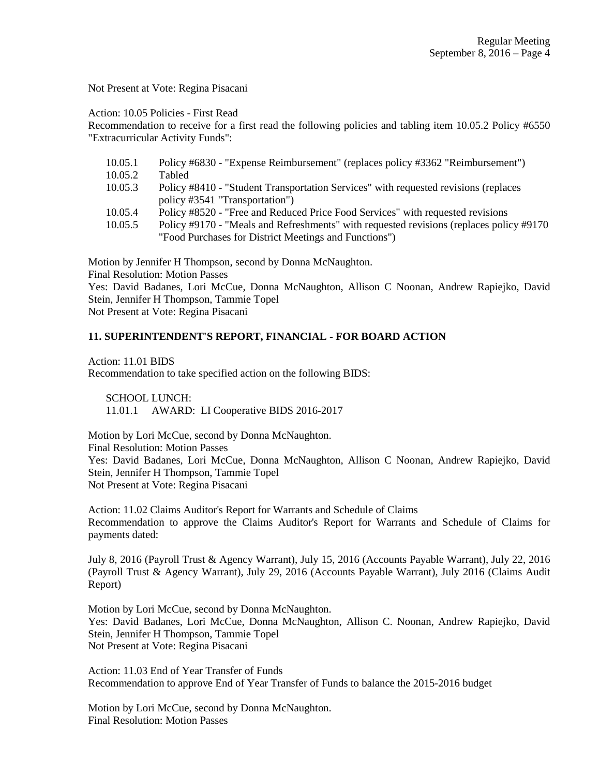Not Present at Vote: Regina Pisacani

Action: 10.05 Policies - First Read

Recommendation to receive for a first read the following policies and tabling item 10.05.2 Policy #6550 "Extracurricular Activity Funds":

- 10.05.1 Policy #6830 "Expense Reimbursement" (replaces policy #3362 "Reimbursement") 10.05.2 Tabled
- 10.05.3 Policy #8410 "Student Transportation Services" with requested revisions (replaces policy #3541 "Transportation")
- 10.05.4 Policy #8520 "Free and Reduced Price Food Services" with requested revisions
- 10.05.5 Policy #9170 "Meals and Refreshments" with requested revisions (replaces policy #9170 "Food Purchases for District Meetings and Functions")

Motion by Jennifer H Thompson, second by Donna McNaughton.

Final Resolution: Motion Passes

Yes: David Badanes, Lori McCue, Donna McNaughton, Allison C Noonan, Andrew Rapiejko, David Stein, Jennifer H Thompson, Tammie Topel

Not Present at Vote: Regina Pisacani

## **11. SUPERINTENDENT'S REPORT, FINANCIAL - FOR BOARD ACTION**

Action: 11.01 BIDS Recommendation to take specified action on the following BIDS:

 SCHOOL LUNCH: 11.01.1 AWARD: LI Cooperative BIDS 2016-2017

Motion by Lori McCue, second by Donna McNaughton. Final Resolution: Motion Passes Yes: David Badanes, Lori McCue, Donna McNaughton, Allison C Noonan, Andrew Rapiejko, David Stein, Jennifer H Thompson, Tammie Topel Not Present at Vote: Regina Pisacani

Action: 11.02 Claims Auditor's Report for Warrants and Schedule of Claims Recommendation to approve the Claims Auditor's Report for Warrants and Schedule of Claims for payments dated:

July 8, 2016 (Payroll Trust & Agency Warrant), July 15, 2016 (Accounts Payable Warrant), July 22, 2016 (Payroll Trust & Agency Warrant), July 29, 2016 (Accounts Payable Warrant), July 2016 (Claims Audit Report)

Motion by Lori McCue, second by Donna McNaughton. Yes: David Badanes, Lori McCue, Donna McNaughton, Allison C. Noonan, Andrew Rapiejko, David Stein, Jennifer H Thompson, Tammie Topel Not Present at Vote: Regina Pisacani

Action: 11.03 End of Year Transfer of Funds Recommendation to approve End of Year Transfer of Funds to balance the 2015-2016 budget

Motion by Lori McCue, second by Donna McNaughton. Final Resolution: Motion Passes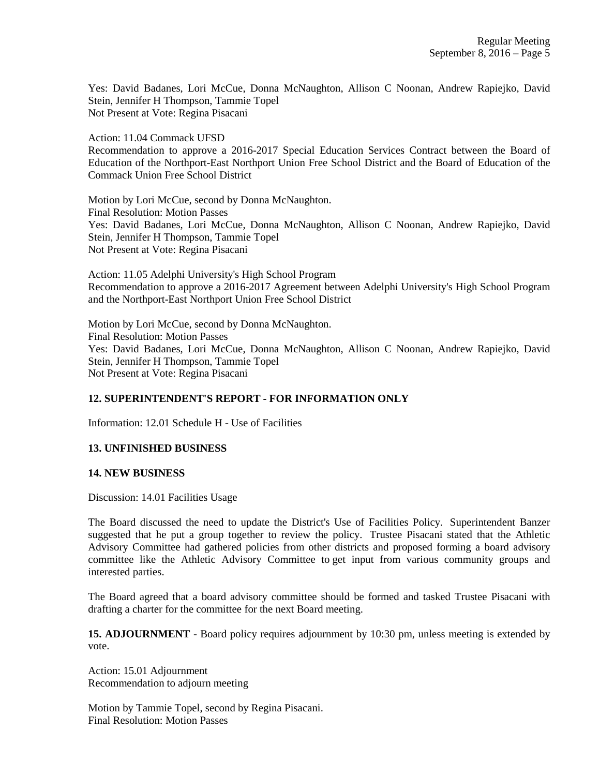Yes: David Badanes, Lori McCue, Donna McNaughton, Allison C Noonan, Andrew Rapiejko, David Stein, Jennifer H Thompson, Tammie Topel Not Present at Vote: Regina Pisacani

Action: 11.04 Commack UFSD

Recommendation to approve a 2016-2017 Special Education Services Contract between the Board of Education of the Northport-East Northport Union Free School District and the Board of Education of the Commack Union Free School District

Motion by Lori McCue, second by Donna McNaughton. Final Resolution: Motion Passes Yes: David Badanes, Lori McCue, Donna McNaughton, Allison C Noonan, Andrew Rapiejko, David Stein, Jennifer H Thompson, Tammie Topel Not Present at Vote: Regina Pisacani

Action: 11.05 Adelphi University's High School Program Recommendation to approve a 2016-2017 Agreement between Adelphi University's High School Program and the Northport-East Northport Union Free School District

Motion by Lori McCue, second by Donna McNaughton. Final Resolution: Motion Passes Yes: David Badanes, Lori McCue, Donna McNaughton, Allison C Noonan, Andrew Rapiejko, David Stein, Jennifer H Thompson, Tammie Topel Not Present at Vote: Regina Pisacani

# **12. SUPERINTENDENT'S REPORT - FOR INFORMATION ONLY**

Information: 12.01 Schedule H - Use of Facilities

## **13. UNFINISHED BUSINESS**

#### **14. NEW BUSINESS**

Discussion: 14.01 Facilities Usage

The Board discussed the need to update the District's Use of Facilities Policy. Superintendent Banzer suggested that he put a group together to review the policy. Trustee Pisacani stated that the Athletic Advisory Committee had gathered policies from other districts and proposed forming a board advisory committee like the Athletic Advisory Committee to get input from various community groups and interested parties.

The Board agreed that a board advisory committee should be formed and tasked Trustee Pisacani with drafting a charter for the committee for the next Board meeting.

**15. ADJOURNMENT** - Board policy requires adjournment by 10:30 pm, unless meeting is extended by vote.

Action: 15.01 Adjournment Recommendation to adjourn meeting

Motion by Tammie Topel, second by Regina Pisacani. Final Resolution: Motion Passes